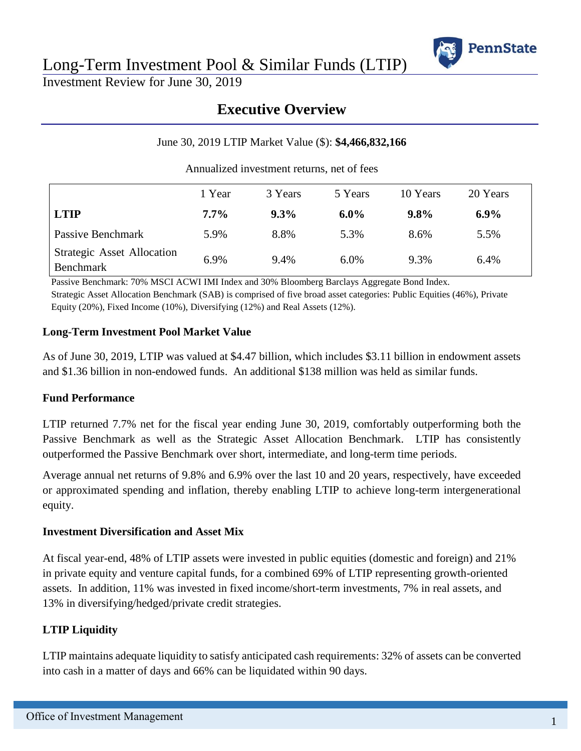

Long-Term Investment Pool & Similar Funds (LTIP)

Investment Review for June 30, 2019

# **Executive Overview**

#### June 30, 2019 LTIP Market Value (\$): **\$4,466,832,166**

Annualized investment returns, net of fees

|                                                | 1 Year  | 3 Years | 5 Years | 10 Years | 20 Years |  |
|------------------------------------------------|---------|---------|---------|----------|----------|--|
| <b>LTIP</b>                                    | $7.7\%$ | $9.3\%$ | $6.0\%$ | $9.8\%$  | $6.9\%$  |  |
| Passive Benchmark                              | 5.9%    | 8.8%    | 5.3%    | 8.6%     | 5.5%     |  |
| <b>Strategic Asset Allocation</b><br>Benchmark | 6.9%    | 9.4%    | 6.0%    | 9.3%     | 6.4%     |  |

Passive Benchmark: 70% MSCI ACWI IMI Index and 30% Bloomberg Barclays Aggregate Bond Index. Strategic Asset Allocation Benchmark (SAB) is comprised of five broad asset categories: Public Equities (46%), Private Equity (20%), Fixed Income (10%), Diversifying (12%) and Real Assets (12%).

#### **Long-Term Investment Pool Market Value**

As of June 30, 2019, LTIP was valued at \$4.47 billion, which includes \$3.11 billion in endowment assets and \$1.36 billion in non-endowed funds. An additional \$138 million was held as similar funds.

#### **Fund Performance**

LTIP returned 7.7% net for the fiscal year ending June 30, 2019, comfortably outperforming both the Passive Benchmark as well as the Strategic Asset Allocation Benchmark. LTIP has consistently outperformed the Passive Benchmark over short, intermediate, and long-term time periods.

Average annual net returns of 9.8% and 6.9% over the last 10 and 20 years, respectively, have exceeded or approximated spending and inflation, thereby enabling LTIP to achieve long-term intergenerational equity.

#### **Investment Diversification and Asset Mix**

At fiscal year-end, 48% of LTIP assets were invested in public equities (domestic and foreign) and 21% in private equity and venture capital funds, for a combined 69% of LTIP representing growth-oriented assets. In addition, 11% was invested in fixed income/short-term investments, 7% in real assets, and 13% in diversifying/hedged/private credit strategies.

### **LTIP Liquidity**

LTIP maintains adequate liquidity to satisfy anticipated cash requirements: 32% of assets can be converted into cash in a matter of days and 66% can be liquidated within 90 days.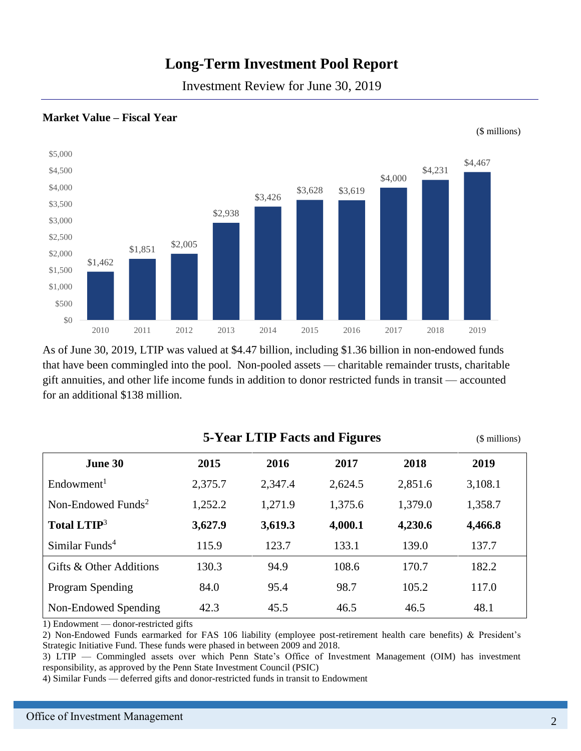# **Long-Term Investment Pool Report**

Investment Review for June 30, 2019



#### **Market Value – Fiscal Year**

As of June 30, 2019, LTIP was valued at \$4.47 billion, including \$1.36 billion in non-endowed funds that have been commingled into the pool. Non-pooled assets — charitable remainder trusts, charitable gift annuities, and other life income funds in addition to donor restricted funds in transit — accounted for an additional \$138 million.

|                                | (\$ millions) |         |         |         |         |
|--------------------------------|---------------|---------|---------|---------|---------|
| June 30                        | 2015          | 2016    | 2017    | 2018    | 2019    |
| Endowment <sup>1</sup>         | 2,375.7       | 2,347.4 | 2,624.5 | 2,851.6 | 3,108.1 |
| Non-Endowed Funds <sup>2</sup> | 1,252.2       | 1,271.9 | 1,375.6 | 1,379.0 | 1,358.7 |
| Total LTIP <sup>3</sup>        | 3,627.9       | 3,619.3 | 4,000.1 | 4,230.6 | 4,466.8 |
| Similar Funds <sup>4</sup>     | 115.9         | 123.7   | 133.1   | 139.0   | 137.7   |
| Gifts & Other Additions        | 130.3         | 94.9    | 108.6   | 170.7   | 182.2   |
| Program Spending               | 84.0          | 95.4    | 98.7    | 105.2   | 117.0   |
| Non-Endowed Spending           | 42.3          | 45.5    | 46.5    | 46.5    | 48.1    |

1) Endowment — donor-restricted gifts

2) Non-Endowed Funds earmarked for FAS 106 liability (employee post-retirement health care benefits) & President's Strategic Initiative Fund. These funds were phased in between 2009 and 2018.

3) LTIP — Commingled assets over which Penn State's Office of Investment Management (OIM) has investment responsibility, as approved by the Penn State Investment Council (PSIC)

4) Similar Funds — deferred gifts and donor-restricted funds in transit to Endowment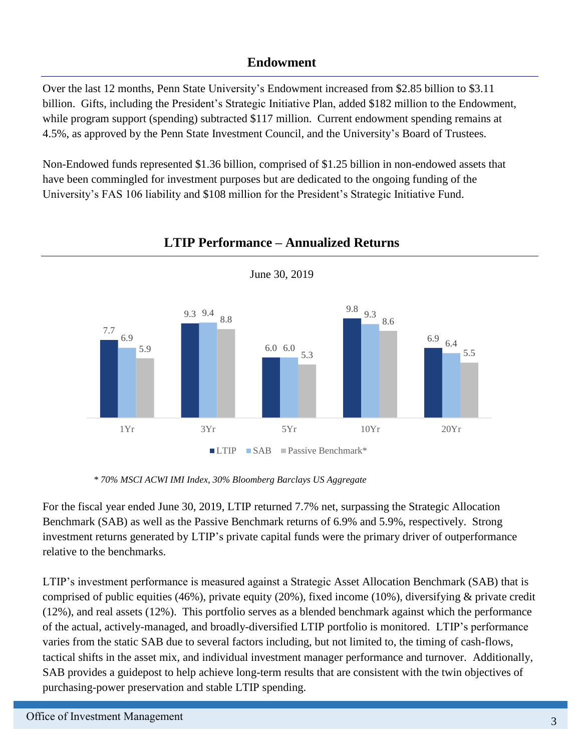### **Endowment**

Over the last 12 months, Penn State University's Endowment increased from \$2.85 billion to \$3.11 billion. Gifts, including the President's Strategic Initiative Plan, added \$182 million to the Endowment, while program support (spending) subtracted \$117 million. Current endowment spending remains at 4.5%, as approved by the Penn State Investment Council, and the University's Board of Trustees.

Non-Endowed funds represented \$1.36 billion, comprised of \$1.25 billion in non-endowed assets that have been commingled for investment purposes but are dedicated to the ongoing funding of the University's FAS 106 liability and \$108 million for the President's Strategic Initiative Fund.



## **LTIP Performance – Annualized Returns**

 *\* 70% MSCI ACWI IMI Index, 30% Bloomberg Barclays US Aggregate*

For the fiscal year ended June 30, 2019, LTIP returned 7.7% net, surpassing the Strategic Allocation Benchmark (SAB) as well as the Passive Benchmark returns of 6.9% and 5.9%, respectively. Strong investment returns generated by LTIP's private capital funds were the primary driver of outperformance relative to the benchmarks.

LTIP's investment performance is measured against a Strategic Asset Allocation Benchmark (SAB) that is comprised of public equities (46%), private equity (20%), fixed income (10%), diversifying & private credit (12%), and real assets (12%). This portfolio serves as a blended benchmark against which the performance of the actual, actively-managed, and broadly-diversified LTIP portfolio is monitored. LTIP's performance varies from the static SAB due to several factors including, but not limited to, the timing of cash-flows, tactical shifts in the asset mix, and individual investment manager performance and turnover. Additionally, SAB provides a guidepost to help achieve long-term results that are consistent with the twin objectives of purchasing-power preservation and stable LTIP spending.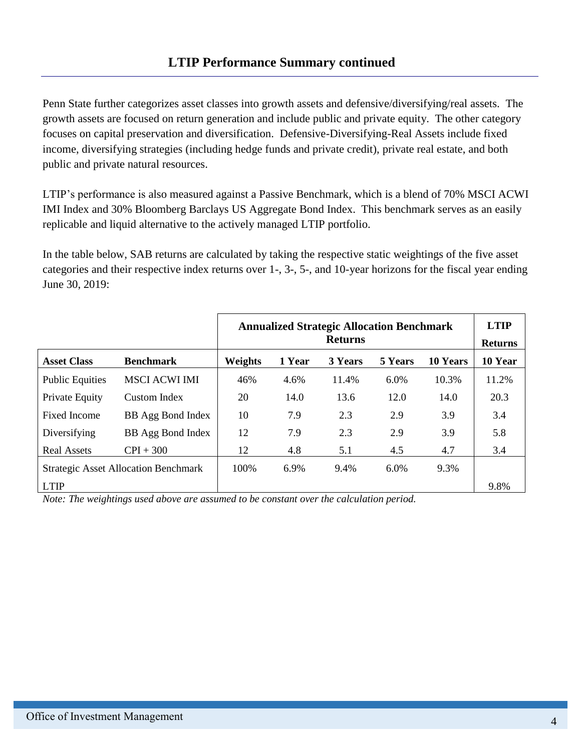Penn State further categorizes asset classes into growth assets and defensive/diversifying/real assets. The growth assets are focused on return generation and include public and private equity. The other category focuses on capital preservation and diversification. Defensive-Diversifying-Real Assets include fixed income, diversifying strategies (including hedge funds and private credit), private real estate, and both public and private natural resources.

LTIP's performance is also measured against a Passive Benchmark, which is a blend of 70% MSCI ACWI IMI Index and 30% Bloomberg Barclays US Aggregate Bond Index. This benchmark serves as an easily replicable and liquid alternative to the actively managed LTIP portfolio.

In the table below, SAB returns are calculated by taking the respective static weightings of the five asset categories and their respective index returns over 1-, 3-, 5-, and 10-year horizons for the fiscal year ending June 30, 2019:

|                                             |                      | <b>Annualized Strategic Allocation Benchmark</b><br><b>Returns</b> |        |         |         | <b>LTIP</b><br><b>Returns</b> |         |
|---------------------------------------------|----------------------|--------------------------------------------------------------------|--------|---------|---------|-------------------------------|---------|
| <b>Asset Class</b>                          | <b>Benchmark</b>     | Weights                                                            | 1 Year | 3 Years | 5 Years | <b>10 Years</b>               | 10 Year |
| <b>Public Equities</b>                      | <b>MSCI ACWI IMI</b> | 46%                                                                | 4.6%   | 11.4%   | $6.0\%$ | 10.3%                         | 11.2%   |
| Private Equity                              | Custom Index         | 20                                                                 | 14.0   | 13.6    | 12.0    | 14.0                          | 20.3    |
| <b>Fixed Income</b>                         | BB Agg Bond Index    | 10                                                                 | 7.9    | 2.3     | 2.9     | 3.9                           | 3.4     |
| Diversifying                                | BB Agg Bond Index    | 12                                                                 | 7.9    | 2.3     | 2.9     | 3.9                           | 5.8     |
| <b>Real Assets</b>                          | $CPI + 300$          | 12                                                                 | 4.8    | 5.1     | 4.5     | 4.7                           | 3.4     |
| <b>Strategic Asset Allocation Benchmark</b> |                      | 100%                                                               | 6.9%   | 9.4%    | 6.0%    | 9.3%                          |         |
| <b>LTIP</b>                                 |                      |                                                                    |        |         |         |                               | 9.8%    |

*Note: The weightings used above are assumed to be constant over the calculation period.*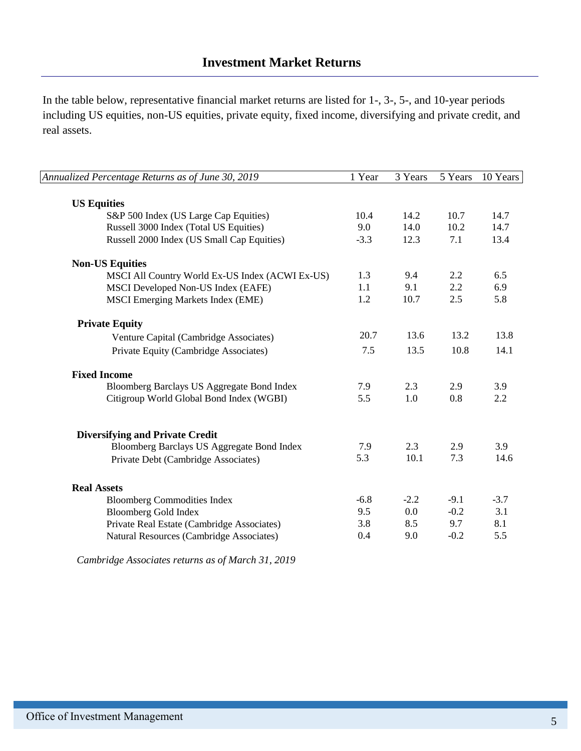In the table below, representative financial market returns are listed for 1-, 3-, 5-, and 10-year periods including US equities, non-US equities, private equity, fixed income, diversifying and private credit, and real assets.

| Annualized Percentage Returns as of June 30, 2019 | 1 Year | 3 Years | 5 Years | 10 Years |
|---------------------------------------------------|--------|---------|---------|----------|
|                                                   |        |         |         |          |
| <b>US Equities</b>                                |        |         |         |          |
| S&P 500 Index (US Large Cap Equities)             | 10.4   | 14.2    | 10.7    | 14.7     |
| Russell 3000 Index (Total US Equities)            | 9.0    | 14.0    | 10.2    | 14.7     |
| Russell 2000 Index (US Small Cap Equities)        | $-3.3$ | 12.3    | 7.1     | 13.4     |
| <b>Non-US Equities</b>                            |        |         |         |          |
| MSCI All Country World Ex-US Index (ACWI Ex-US)   | 1.3    | 9.4     | 2.2     | 6.5      |
| MSCI Developed Non-US Index (EAFE)                | 1.1    | 9.1     | 2.2     | 6.9      |
| <b>MSCI</b> Emerging Markets Index (EME)          | 1.2    | 10.7    | 2.5     | 5.8      |
| <b>Private Equity</b>                             |        |         |         |          |
| Venture Capital (Cambridge Associates)            | 20.7   | 13.6    | 13.2    | 13.8     |
| Private Equity (Cambridge Associates)             | 7.5    | 13.5    | 10.8    | 14.1     |
| <b>Fixed Income</b>                               |        |         |         |          |
| Bloomberg Barclays US Aggregate Bond Index        | 7.9    | 2.3     | 2.9     | 3.9      |
| Citigroup World Global Bond Index (WGBI)          | 5.5    | 1.0     | 0.8     | 2.2      |
| <b>Diversifying and Private Credit</b>            |        |         |         |          |
| Bloomberg Barclays US Aggregate Bond Index        | 7.9    | 2.3     | 2.9     | 3.9      |
|                                                   | 5.3    | 10.1    | 7.3     | 14.6     |
| Private Debt (Cambridge Associates)               |        |         |         |          |
| <b>Real Assets</b>                                |        |         |         |          |
| <b>Bloomberg Commodities Index</b>                | $-6.8$ | $-2.2$  | $-9.1$  | $-3.7$   |
| <b>Bloomberg Gold Index</b>                       | 9.5    | 0.0     | $-0.2$  | 3.1      |
| Private Real Estate (Cambridge Associates)        | 3.8    | 8.5     | 9.7     | 8.1      |
| Natural Resources (Cambridge Associates)          | 0.4    | 9.0     | $-0.2$  | 5.5      |
|                                                   |        |         |         |          |

*Cambridge Associates returns as of March 31, 2019*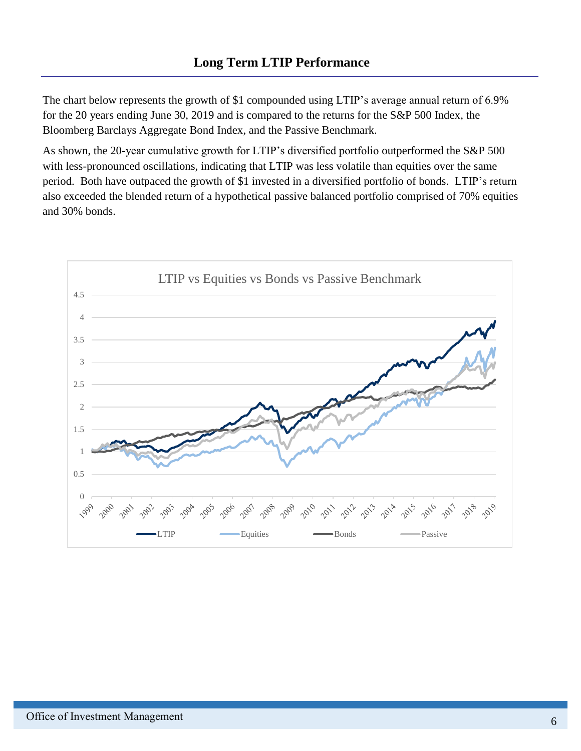The chart below represents the growth of \$1 compounded using LTIP's average annual return of 6.9% for the 20 years ending June 30, 2019 and is compared to the returns for the S&P 500 Index, the Bloomberg Barclays Aggregate Bond Index, and the Passive Benchmark.

As shown, the 20-year cumulative growth for LTIP's diversified portfolio outperformed the S&P 500 with less-pronounced oscillations, indicating that LTIP was less volatile than equities over the same period. Both have outpaced the growth of \$1 invested in a diversified portfolio of bonds. LTIP's return also exceeded the blended return of a hypothetical passive balanced portfolio comprised of 70% equities and 30% bonds.

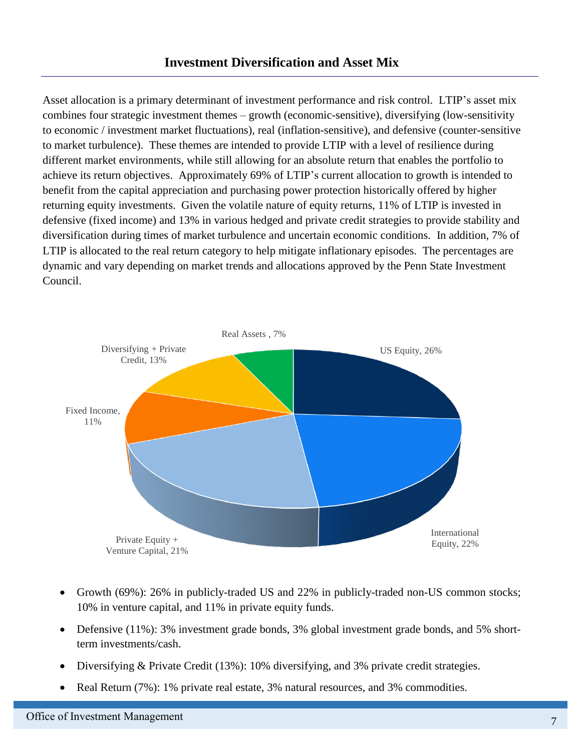Asset allocation is a primary determinant of investment performance and risk control. LTIP's asset mix combines four strategic investment themes – growth (economic-sensitive), diversifying (low-sensitivity to economic / investment market fluctuations), real (inflation-sensitive), and defensive (counter-sensitive to market turbulence). These themes are intended to provide LTIP with a level of resilience during different market environments, while still allowing for an absolute return that enables the portfolio to achieve its return objectives. Approximately 69% of LTIP's current allocation to growth is intended to benefit from the capital appreciation and purchasing power protection historically offered by higher returning equity investments. Given the volatile nature of equity returns, 11% of LTIP is invested in defensive (fixed income) and 13% in various hedged and private credit strategies to provide stability and diversification during times of market turbulence and uncertain economic conditions. In addition, 7% of LTIP is allocated to the real return category to help mitigate inflationary episodes. The percentages are dynamic and vary depending on market trends and allocations approved by the Penn State Investment Council.



- Growth (69%): 26% in publicly-traded US and 22% in publicly-traded non-US common stocks; 10% in venture capital, and 11% in private equity funds.
- Defensive (11%): 3% investment grade bonds, 3% global investment grade bonds, and 5% shortterm investments/cash.
- Diversifying & Private Credit (13%): 10% diversifying, and 3% private credit strategies.
- Real Return (7%): 1% private real estate, 3% natural resources, and 3% commodities.